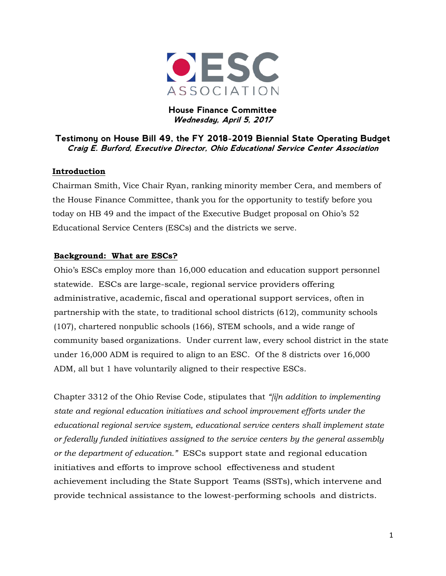

**House Finance Committee Wednesday, April 5, 2017**

#### **Testimony on House Bill 49, the FY 2018-2019 Biennial State Operating Budget Craig E. Burford, Executive Director, Ohio Educational Service Center Association**

#### **Introduction**

Chairman Smith, Vice Chair Ryan, ranking minority member Cera, and members of the House Finance Committee, thank you for the opportunity to testify before you today on HB 49 and the impact of the Executive Budget proposal on Ohio's 52 Educational Service Centers (ESCs) and the districts we serve.

#### **Background: What are ESCs?**

Ohio's ESCs employ more than 16,000 education and education support personnel statewide. ESCs are large-scale, regional service providers offering administrative, academic, fiscal and operational support services, often in partnership with the state, to traditional school districts (612), community schools (107), chartered nonpublic schools (166), STEM schools, and a wide range of community based organizations. Under current law, every school district in the state under 16,000 ADM is required to align to an ESC. Of the 8 districts over 16,000 ADM, all but 1 have voluntarily aligned to their respective ESCs.

Chapter 3312 of the Ohio Revise Code, stipulates that *"[i]n addition to implementing state and regional education initiatives and school improvement efforts under the educational regional service system, educational service centers shall implement state or federally funded initiatives assigned to the service centers by the general assembly or the department of education."* ESCs support state and regional education initiatives and efforts to improve school effectiveness and student achievement including the State Support Teams (SSTs), which intervene and provide technical assistance to the lowest-performing schools and districts.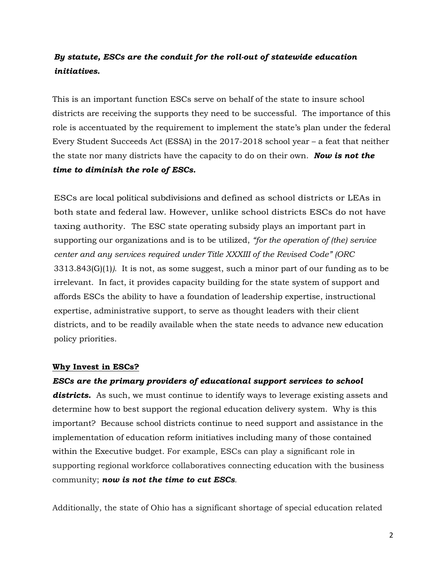### *By statute, ESCs are the conduit for the roll-out of statewide education initiatives.*

This is an important function ESCs serve on behalf of the state to insure school districts are receiving the supports they need to be successful. The importance of this role is accentuated by the requirement to implement the state's plan under the federal Every Student Succeeds Act (ESSA) in the 2017-2018 school year – a feat that neither the state nor many districts have the capacity to do on their own. *Now is not the time to diminish the role of ESCs.*

ESCs are local political subdivisions and defined as school districts or LEAs in both state and federal law. However, unlike school districts ESCs do not have taxing authority. The ESC state operating subsidy plays an important part in supporting our organizations and is to be utilized, *"for the operation of (the) service center and any services required under Title XXXIII of the Revised Code" (ORC*  3313.843(G)(1)*).* It is not, as some suggest, such a minor part of our funding as to be irrelevant. In fact, it provides capacity building for the state system of support and affords ESCs the ability to have a foundation of leadership expertise, instructional expertise, administrative support, to serve as thought leaders with their client districts, and to be readily available when the state needs to advance new education policy priorities.

#### **Why Invest in ESCs?**

*ESCs are the primary providers of educational support services to school*  districts. As such, we must continue to identify ways to leverage existing assets and determine how to best support the regional education delivery system. Why is this important? Because school districts continue to need support and assistance in the implementation of education reform initiatives including many of those contained within the Executive budget. For example, ESCs can play a significant role in supporting regional workforce collaboratives connecting education with the business community; *now is not the time to cut ESCs*.

Additionally, the state of Ohio has a significant shortage of special education related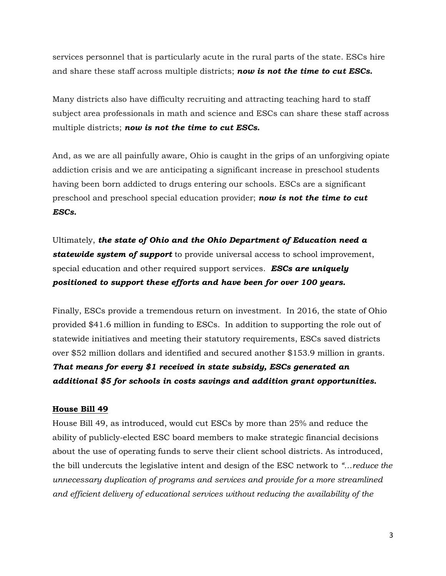services personnel that is particularly acute in the rural parts of the state. ESCs hire and share these staff across multiple districts; *now is not the time to cut ESCs.*

Many districts also have difficulty recruiting and attracting teaching hard to staff subject area professionals in math and science and ESCs can share these staff across multiple districts; *now is not the time to cut ESCs.*

And, as we are all painfully aware, Ohio is caught in the grips of an unforgiving opiate addiction crisis and we are anticipating a significant increase in preschool students having been born addicted to drugs entering our schools. ESCs are a significant preschool and preschool special education provider; *now is not the time to cut ESCs.*

Ultimately, *the state of Ohio and the Ohio Department of Education need a statewide system of support* to provide universal access to school improvement, special education and other required support services. *ESCs are uniquely positioned to support these efforts and have been for over 100 years.*

Finally, ESCs provide a tremendous return on investment. In 2016, the state of Ohio provided \$41.6 million in funding to ESCs. In addition to supporting the role out of statewide initiatives and meeting their statutory requirements, ESCs saved districts over \$52 million dollars and identified and secured another \$153.9 million in grants. *That means for every \$1 received in state subsidy, ESCs generated an additional \$5 for schools in costs savings and addition grant opportunities.*

#### **House Bill 49**

House Bill 49, as introduced, would cut ESCs by more than 25% and reduce the ability of publicly-elected ESC board members to make strategic financial decisions about the use of operating funds to serve their client school districts. As introduced, the bill undercuts the legislative intent and design of the ESC network to *"…reduce the unnecessary duplication of programs and services and provide for a more streamlined and efficient delivery of educational services without reducing the availability of the*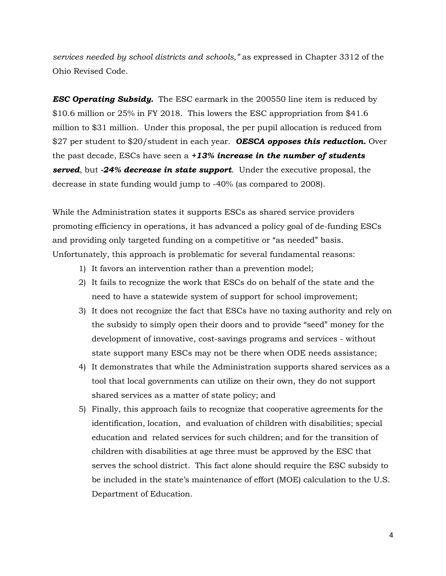*services needed by school districts and schools,"* as expressed in Chapter 3312 of the Ohio Revised Code.

*ESC Operating Subsidy.* The ESC earmark in the 200550 line item is reduced by \$10.6 million or 25% in FY 2018. This lowers the ESC appropriation from \$41.6 million to \$31 million. Under this proposal, the per pupil allocation is reduced from \$27 per student to \$20/student in each year. *OESCA opposes this reduction.* Over the past decade, ESCs have seen a *+13% increase in the number of students served*, but *-24% decrease in state support*. Under the executive proposal, the decrease in state funding would jump to -40% (as compared to 2008).

While the Administration states it supports ESCs as shared service providers promoting efficiency in operations, it has advanced a policy goal of de-funding ESCs and providing only targeted funding on a competitive or "as needed" basis. Unfortunately, this approach is problematic for several fundamental reasons:

- 1) It favors an intervention rather than a prevention model;
- 2) It fails to recognize the work that ESCs do on behalf of the state and the need to have a statewide system of support for school improvement;
- 3) It does not recognize the fact that ESCs have no taxing authority and rely on the subsidy to simply open their doors and to provide "seed" money for the development of innovative, cost-savings programs and services - without state support many ESCs may not be there when ODE needs assistance;
- 4) It demonstrates that while the Administration supports shared services as a tool that local governments can utilize on their own, they do not support shared services as a matter of state policy; and
- <span id="page-3-0"></span>5) Finally, this approach fails to recognize that cooperative agreements for the identification, location, and evaluation of children with disabilities; special education and related services for such children; and for the transition of children with di[sabi](#page-3-0)lities at age three must be approved by the ESC that serves the school district. This fact alone should require the ESC subsidy to be included in the state's maintenance of effort (MOE) calculation to the U.S. Department of Education.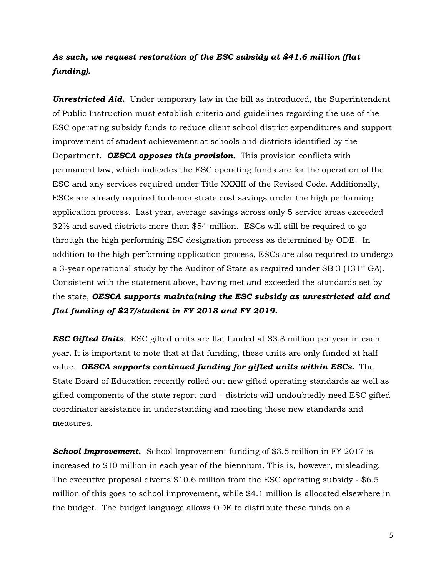### *As such, we request restoration of the ESC subsidy at \$41.6 million (flat funding).*

**Unrestricted Aid.** Under temporary law in the bill as introduced, the Superintendent of Public Instruction must establish criteria and guidelines regarding the use of the ESC operating subsidy funds to reduce client school district expenditures and support improvement of student achievement at schools and districts identified by the Department. *OESCA opposes this provision.* This provision conflicts with permanent law, which indicates the ESC operating funds are for the operation of the ESC and any services required under Title XXXIII of the Revised Code. Additionally, ESCs are already required to demonstrate cost savings under the high performing application process. Last year, average savings across only 5 service areas exceeded 32% and saved districts more than \$54 million. ESCs will still be required to go through the high performing ESC designation process as determined by ODE. In addition to the high performing application process, ESCs are also required to undergo a 3-year operational study by the Auditor of State as required under SB 3 (131st GA). Consistent with the statement above, having met and exceeded the standards set by the state, *OESCA supports maintaining the ESC subsidy as unrestricted aid and flat funding of \$27/student in FY 2018 and FY 2019.*

*ESC Gifted Units*. ESC gifted units are flat funded at \$3.8 million per year in each year. It is important to note that at flat funding, these units are only funded at half value. *OESCA supports continued funding for gifted units within ESCs.* The State Board of Education recently rolled out new gifted operating standards as well as gifted components of the state report card – districts will undoubtedly need ESC gifted coordinator assistance in understanding and meeting these new standards and measures.

*School Improvement.* School Improvement funding of \$3.5 million in FY 2017 is increased to \$10 million in each year of the biennium. This is, however, misleading. The executive proposal diverts \$10.6 million from the ESC operating subsidy - \$6.5 million of this goes to school improvement, while \$4.1 million is allocated elsewhere in the budget. The budget language allows ODE to distribute these funds on a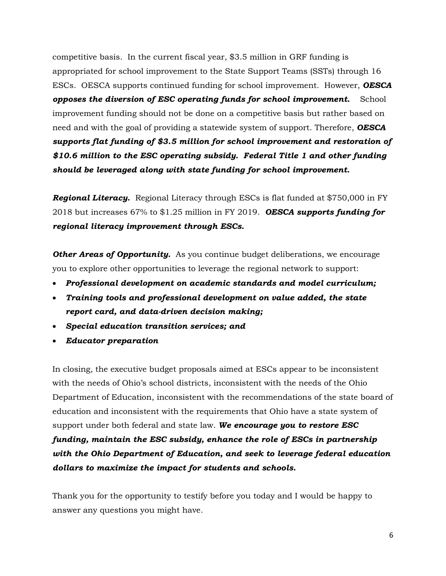competitive basis. In the current fiscal year, \$3.5 million in GRF funding is appropriated for school improvement to the State Support Teams (SSTs) through 16 ESCs. OESCA supports continued funding for school improvement. However, *OESCA opposes the diversion of ESC operating funds for school improvement.* School improvement funding should not be done on a competitive basis but rather based on need and with the goal of providing a statewide system of support. Therefore, *OESCA supports flat funding of \$3.5 million for school improvement and restoration of \$10.6 million to the ESC operating subsidy. Federal Title 1 and other funding should be leveraged along with state funding for school improvement.*

*Regional Literacy.* Regional Literacy through ESCs is flat funded at \$750,000 in FY 2018 but increases 67% to \$1.25 million in FY 2019. *OESCA supports funding for regional literacy improvement through ESCs.*

**Other Areas of Opportunity.** As you continue budget deliberations, we encourage you to explore other opportunities to leverage the regional network to support:

- *Professional development on academic standards and model curriculum;*
- *Training tools and professional development on value added, the state report card, and data-driven decision making;*
- *Special education transition services; and*
- *Educator preparation*

In closing, the executive budget proposals aimed at ESCs appear to be inconsistent with the needs of Ohio's school districts, inconsistent with the needs of the Ohio Department of Education, inconsistent with the recommendations of the state board of education and inconsistent with the requirements that Ohio have a state system of support under both federal and state law. *We encourage you to restore ESC funding, maintain the ESC subsidy, enhance the role of ESCs in partnership with the Ohio Department of Education, and seek to leverage federal education dollars to maximize the impact for students and schools.*

Thank you for the opportunity to testify before you today and I would be happy to answer any questions you might have.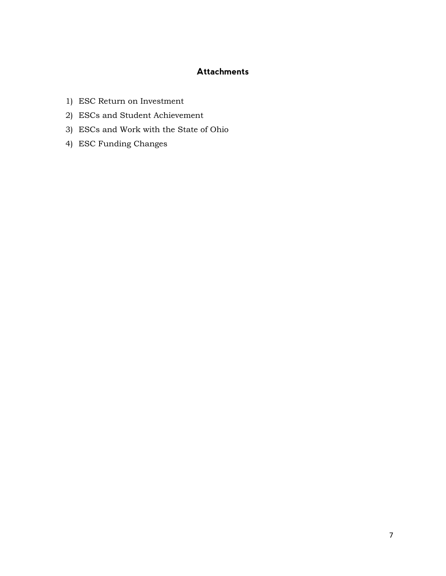#### **Attachments**

- 1) ESC Return on Investment
- 2) ESCs and Student Achievement
- 3) ESCs and Work with the State of Ohio
- 4) ESC Funding Changes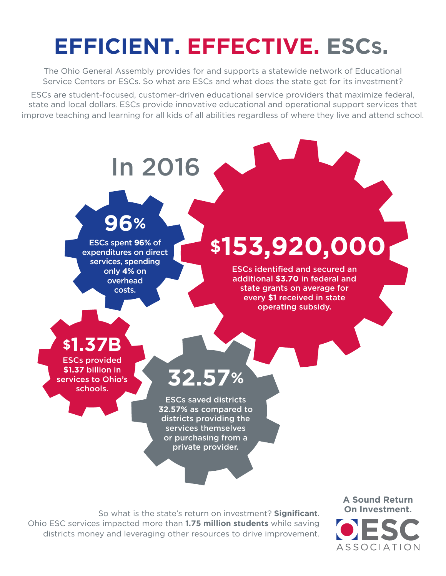# **EFFICIENT. EFFECTIVE. ESCS.**

The Ohio General Assembly provides for and supports a statewide network of Educational Service Centers or ESCs. So what are ESCs and what does the state get for its investment?

ESCs are student-focused, customer-driven educational service providers that maximize federal, state and local dollars. ESCs provide innovative educational and operational support services that improve teaching and learning for all kids of all abilities regardless of where they live and attend school.



So what is the state's return on investment? **Significant**. Ohio ESC services impacted more than **1.75 million students** while saving districts money and leveraging other resources to drive improvement.

**A Sound Return On Investment.** ASSOCIATION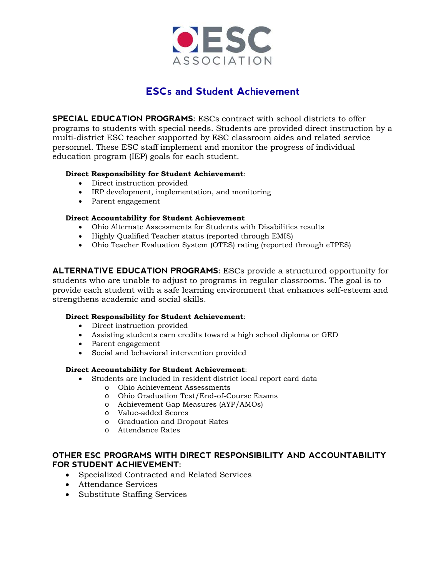

# **ESCs and Student Achievement**

**SPECIAL EDUCATION PROGRAMS:** ESCs contract with school districts to offer programs to students with special needs. Students are provided direct instruction by a multi-district ESC teacher supported by ESC classroom aides and related service personnel. These ESC staff implement and monitor the progress of individual education program (IEP) goals for each student.

#### **Direct Responsibility for Student Achievement**:

- Direct instruction provided
- IEP development, implementation, and monitoring
- Parent engagement

#### **Direct Accountability for Student Achievement**

- Ohio Alternate Assessments for Students with Disabilities results
- Highly Qualified Teacher status (reported through EMIS)
- Ohio Teacher Evaluation System (OTES) rating (reported through eTPES)

**ALTERNATIVE EDUCATION PROGRAMS:** ESCs provide a structured opportunity for students who are unable to adjust to programs in regular classrooms. The goal is to provide each student with a safe learning environment that enhances self-esteem and strengthens academic and social skills.

#### **Direct Responsibility for Student Achievement**:

- Direct instruction provided
- Assisting students earn credits toward a high school diploma or GED
- Parent engagement
- Social and behavioral intervention provided

#### **Direct Accountability for Student Achievement**:

- Students are included in resident district local report card data
	- o Ohio Achievement Assessments
	- o Ohio Graduation Test/End-of-Course Exams
	- o Achievement Gap Measures (AYP/AMOs)
	- o Value-added Scores
	- o Graduation and Dropout Rates
	- o Attendance Rates

#### **OTHER ESC PROGRAMS WITH DIRECT RESPONSIBILITY AND ACCOUNTABILITY FOR STUDENT ACHIEVEMENT:**

- Specialized Contracted and Related Services
- Attendance Services
- Substitute Staffing Services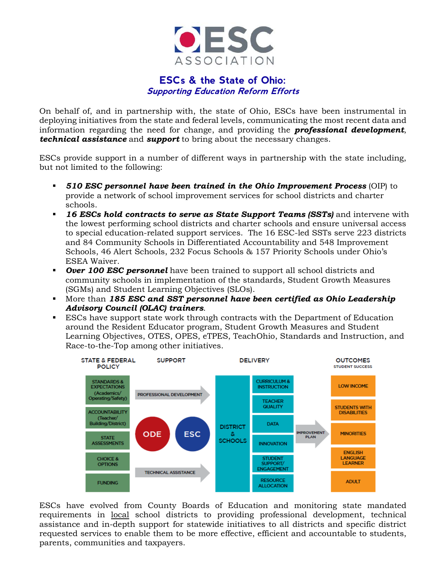

### **ESCs & the State of Ohio: Supporting Education Reform Efforts**

On behalf of, and in partnership with, the state of Ohio, ESCs have been instrumental in deploying initiatives from the state and federal levels, communicating the most recent data and information regarding the need for change, and providing the *professional development*, *technical assistance* and *support* to bring about the necessary changes.

ESCs provide support in a number of different ways in partnership with the state including, but not limited to the following:

- *510 ESC personnel have been trained in the Ohio Improvement Process* (OIP) to provide a network of school improvement services for school districts and charter schools.
- *16 ESCs hold contracts to serve as State Support Teams (SSTs)* and intervene with the lowest performing school districts and charter schools and ensure universal access to special education-related support services. The 16 ESC-led SSTs serve 223 districts and 84 Community Schools in Differentiated Accountability and 548 Improvement Schools, 46 Alert Schools, 232 Focus Schools & 157 Priority Schools under Ohio's ESEA Waiver.
- *Over 100 ESC personnel* have been trained to support all school districts and community schools in implementation of the standards, Student Growth Measures (SGMs) and Student Learning Objectives (SLOs).
- More than *185 ESC and SST personnel have been certified as Ohio Leadership Advisory Council (OLAC) trainers*.
- ESCs have support state work through contracts with the Department of Education around the Resident Educator program, Student Growth Measures and Student Learning Objectives, OTES, OPES, eTPES, TeachOhio, Standards and Instruction, and Race-to-the-Top among other initiatives.



ESCs have evolved from County Boards of Education and monitoring state mandated requirements in local school districts to providing professional development, technical assistance and in-depth support for statewide initiatives to all districts and specific district requested services to enable them to be more effective, efficient and accountable to students, parents, communities and taxpayers.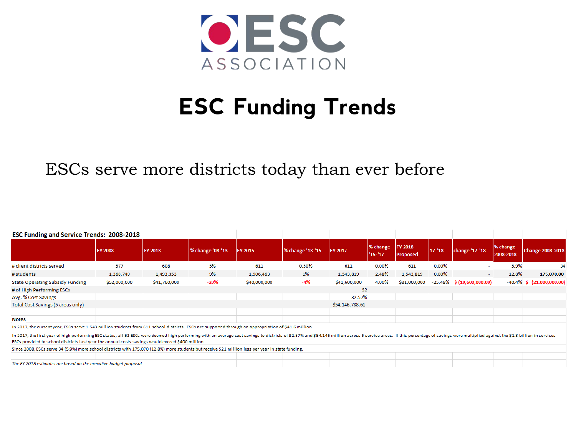

# **ESC Funding Trends**

# ESCs serve more districts today than ever before

| <b>ESC Funding and Service Trends: 2008-2018</b>                                                                                                                                                                                                                                                                                    |                 |              |                  |              |                  |                 |                        |                                   |           |                               |                       |                              |
|-------------------------------------------------------------------------------------------------------------------------------------------------------------------------------------------------------------------------------------------------------------------------------------------------------------------------------------|-----------------|--------------|------------------|--------------|------------------|-----------------|------------------------|-----------------------------------|-----------|-------------------------------|-----------------------|------------------------------|
|                                                                                                                                                                                                                                                                                                                                     | <b>IFY 2008</b> | FY 2013      | % change '08-'13 | FY 2015      | % change '13-'15 | FY 2017         | % change<br>$'15 - 17$ | <b>FY 2018</b><br><b>Proposed</b> | $17 - 18$ | change '17-'18                | % change<br>2008-2018 | <b>Change 2008-2018</b>      |
| # client districts served                                                                                                                                                                                                                                                                                                           | 577             | 608          | 5%               | 611          | 0.50%            | 611             | $0.00\%$               | 611                               | $0.00\%$  |                               | 5.9%                  | 34                           |
| # students                                                                                                                                                                                                                                                                                                                          | 1,368,749       | 1,493,353    | 9%               | 1,506,463    | 1%               | 1,543,819       | 2.48%                  | 1,543,819                         | $0.00\%$  | $\sim$                        | 12.8%                 | 175,070.00                   |
| <b>State Operating Subsidy Funding</b>                                                                                                                                                                                                                                                                                              | \$52,000,000    | \$41,760,000 | $-20%$           | \$40,000,000 | $-4%$            | \$41,600,000    | 4.00%                  | \$31,000,000                      |           | $-25.48\%$ \$ (10,600,000.00) |                       | $-40.4\%$ \$ (21,000,000.00) |
| # of High Performing ESCs                                                                                                                                                                                                                                                                                                           |                 |              |                  |              |                  | 52              |                        |                                   |           |                               |                       |                              |
| Avg. % Cost Savings                                                                                                                                                                                                                                                                                                                 |                 |              |                  |              |                  | 32.57%          |                        |                                   |           |                               |                       |                              |
| Total Cost Savings (5 areas only)                                                                                                                                                                                                                                                                                                   |                 |              |                  |              |                  | \$54,146,788.61 |                        |                                   |           |                               |                       |                              |
| <b>Notes</b>                                                                                                                                                                                                                                                                                                                        |                 |              |                  |              |                  |                 |                        |                                   |           |                               |                       |                              |
| In 2017, the current year, ESCs serve 1.543 million students from 611 school districts. ESCs are supported through an appropriation of \$41.6 million                                                                                                                                                                               |                 |              |                  |              |                  |                 |                        |                                   |           |                               |                       |                              |
| In 2017, the first year of high performing ESC status, all 52 ESCs were deemed high performing with an average cost savings to districts of 32.57% and \$54.146 million across 5 service areas. If this percentage of savings w<br>ESCs provided to school districts last year the annual costs savings would exceed \$400 million. |                 |              |                  |              |                  |                 |                        |                                   |           |                               |                       |                              |
| Since 2008, ESCs serve 34 (5.9%) more school districts with 175,070 (12.8%) more students but receive \$21 million less per year in state funding.                                                                                                                                                                                  |                 |              |                  |              |                  |                 |                        |                                   |           |                               |                       |                              |
|                                                                                                                                                                                                                                                                                                                                     |                 |              |                  |              |                  |                 |                        |                                   |           |                               |                       |                              |
| The FY 2018 estimates are based on the executive budget proposal.                                                                                                                                                                                                                                                                   |                 |              |                  |              |                  |                 |                        |                                   |           |                               |                       |                              |